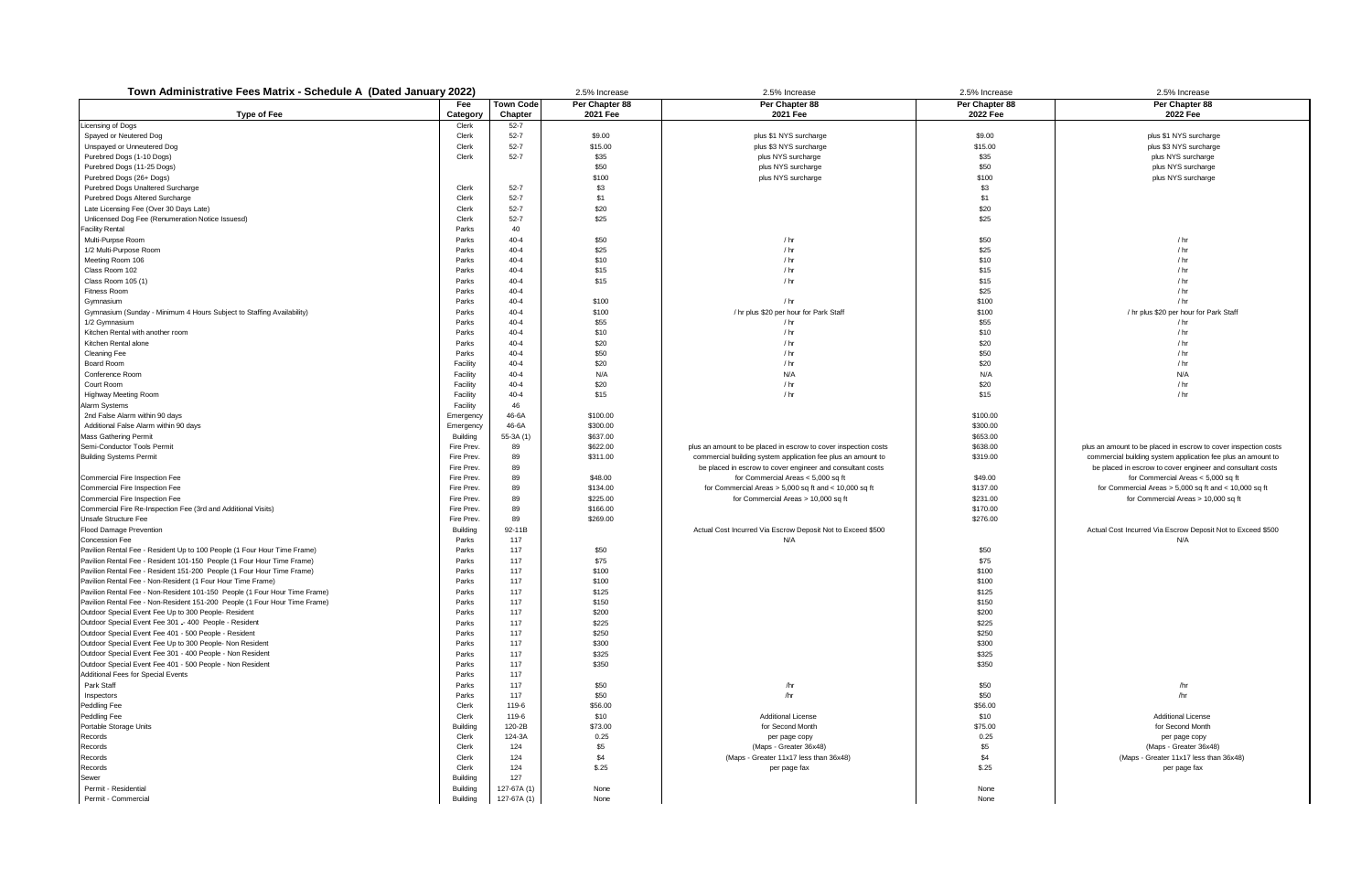| Town Administrative Fees Matrix - Schedule A (Dated January 2022)                                                                                        |                      |                      | 2.5% Increase     | 2.5% Increase                                                   | 2.5% Increase     | 2.5% Increase                                                   |
|----------------------------------------------------------------------------------------------------------------------------------------------------------|----------------------|----------------------|-------------------|-----------------------------------------------------------------|-------------------|-----------------------------------------------------------------|
|                                                                                                                                                          | Fee                  | <b>Town Code</b>     | Per Chapter 88    | Per Chapter 88                                                  | Per Chapter 88    | Per Chapter 88                                                  |
| <b>Type of Fee</b>                                                                                                                                       | Category             | Chapter              | 2021 Fee          | 2021 Fee                                                        | 2022 Fee          | 2022 Fee                                                        |
| Licensing of Dogs<br>Spayed or Neutered Dog                                                                                                              | Clerk                | $52 - 7$             |                   |                                                                 |                   |                                                                 |
| Unspayed or Unneutered Dog                                                                                                                               | Clerk<br>Clerk       | $52 - 7$<br>$52 - 7$ | \$9.00<br>\$15.00 | plus \$1 NYS surcharge<br>plus \$3 NYS surcharge                | \$9.00<br>\$15.00 | plus \$1 NYS surcharge<br>plus \$3 NYS surcharge                |
| Purebred Dogs (1-10 Dogs)                                                                                                                                | Clerk                | $52 - 7$             | \$35              | plus NYS surcharge                                              | \$35              | plus NYS surcharge                                              |
| Purebred Dogs (11-25 Dogs)                                                                                                                               |                      |                      | \$50              | plus NYS surcharge                                              | \$50              | plus NYS surcharge                                              |
| Purebred Dogs (26+ Dogs)                                                                                                                                 |                      |                      | \$100             | plus NYS surcharge                                              | \$100             | plus NYS surcharge                                              |
| Purebred Dogs Unaltered Surcharge                                                                                                                        | Clerk                | $52 - 7$             | \$3               |                                                                 | \$3               |                                                                 |
| Purebred Dogs Altered Surcharge                                                                                                                          | Clerk                | $52 - 7$             | \$1               |                                                                 | \$1               |                                                                 |
| Late Licensing Fee (Over 30 Days Late)                                                                                                                   | Clerk                | $52 - 7$             | \$20              |                                                                 | \$20              |                                                                 |
| Unlicensed Dog Fee (Renumeration Notice Issuesd)                                                                                                         | Clerk                | $52 - 7$             | \$25              |                                                                 | \$25              |                                                                 |
| <b>Facility Rental</b>                                                                                                                                   | Parks                | 40                   |                   |                                                                 |                   |                                                                 |
| Multi-Purpse Room                                                                                                                                        | Parks                | $40 - 4$             | \$50              | $/$ hr                                                          | \$50              | $/$ hr                                                          |
| 1/2 Multi-Purpose Room                                                                                                                                   | Parks                | $40 - 4$             | \$25              | $/$ hr                                                          | \$25              | $/$ hr                                                          |
| Meeting Room 106                                                                                                                                         | Parks                | $40 - 4$             | \$10              | $/$ hr                                                          | \$10              | $/$ hr                                                          |
| Class Room 102                                                                                                                                           | Parks                | $40 - 4$             | \$15              | $/$ hr                                                          | \$15              | $/$ hr                                                          |
| Class Room 105 (1)                                                                                                                                       | Parks                | $40 - 4$             | \$15              | $/$ hr                                                          | \$15              | $/$ hr                                                          |
| <b>Fitness Room</b>                                                                                                                                      | Parks                | $40 - 4$             |                   |                                                                 | \$25              | $/$ hr                                                          |
| Gymnasium                                                                                                                                                | Parks                | $40 - 4$             | \$100             | $/$ hr                                                          | \$100             | $/$ hr                                                          |
| Gymnasium (Sunday - Minimum 4 Hours Subject to Staffing Availability)                                                                                    | Parks                | $40 - 4$             | \$100             | / hr plus \$20 per hour for Park Staff                          | \$100             | / hr plus \$20 per hour for Park Staff                          |
| 1/2 Gymnasium                                                                                                                                            | Parks                | $40 - 4$             | \$55              | / hr                                                            | \$55              | / hr                                                            |
| Kitchen Rental with another room                                                                                                                         | Parks                | $40 - 4$             | \$10              | $/$ hr                                                          | \$10              | / hr                                                            |
| Kitchen Rental alone                                                                                                                                     | Parks                | $40 - 4$             | \$20              | $/$ hr                                                          | \$20              | $/$ hr                                                          |
| <b>Cleaning Fee</b>                                                                                                                                      | Parks                | $40 - 4$             | \$50              | $/$ hr                                                          | \$50              | $/$ hr                                                          |
| Board Room<br>Conference Room                                                                                                                            | Facility<br>Facility | $40 - 4$<br>$40 - 4$ | \$20<br>N/A       | $/$ hr<br>N/A                                                   | \$20<br>N/A       | $/$ hr<br>N/A                                                   |
| Court Room                                                                                                                                               |                      | $40 - 4$             | \$20              | $/$ hr                                                          | \$20              | $/$ hr                                                          |
| <b>Highway Meeting Room</b>                                                                                                                              | Facility<br>Facility | $40 - 4$             | \$15              | $/$ hr                                                          | \$15              | $/$ hr                                                          |
| Alarm Systems                                                                                                                                            | Facility             | 46                   |                   |                                                                 |                   |                                                                 |
| 2nd False Alarm within 90 days                                                                                                                           | Emergency            | 46-6A                | \$100.00          |                                                                 | \$100.00          |                                                                 |
| Additional False Alarm within 90 days                                                                                                                    | Emergency            | 46-6A                | \$300.00          |                                                                 | \$300.00          |                                                                 |
| Mass Gathering Permit                                                                                                                                    | <b>Building</b>      | 55-3A (1)            | \$637.00          |                                                                 | \$653.00          |                                                                 |
| Semi-Conductor Tools Permit                                                                                                                              | Fire Prev.           | 89                   | \$622.00          | plus an amount to be placed in escrow to cover inspection costs | \$638.00          | plus an amount to be placed in escrow to cover inspection costs |
| <b>Building Systems Permit</b>                                                                                                                           | Fire Prev.           | 89                   | \$311.00          | commercial building system application fee plus an amount to    | \$319.00          | commercial building system application fee plus an amount to    |
|                                                                                                                                                          | Fire Prev.           | 89                   |                   | be placed in escrow to cover engineer and consultant costs      |                   | be placed in escrow to cover engineer and consultant costs      |
| Commercial Fire Inspection Fee                                                                                                                           | Fire Prev.           | 89                   | \$48.00           | for Commercial Areas < 5,000 sq ft                              | \$49.00           | for Commercial Areas < 5,000 sq ft                              |
| Commercial Fire Inspection Fee                                                                                                                           | Fire Prev.           | 89                   | \$134.00          | for Commercial Areas $> 5,000$ sq ft and $< 10,000$ sq ft       | \$137.00          | for Commercial Areas $> 5,000$ sq ft and $< 10,000$ sq ft       |
| Commercial Fire Inspection Fee                                                                                                                           | Fire Prev.           | 89                   | \$225.00          | for Commercial Areas > 10,000 sq ft                             | \$231.00          | for Commercial Areas > 10,000 sq ft                             |
| Commercial Fire Re-Inspection Fee (3rd and Additional Visits)                                                                                            | Fire Prev.           | 89                   | \$166.00          |                                                                 | \$170.00          |                                                                 |
| Unsafe Structure Fee                                                                                                                                     | Fire Prev.           | 89                   | \$269.00          |                                                                 | \$276.00          |                                                                 |
| Flood Damage Prevention                                                                                                                                  | <b>Building</b>      | 92-11B               |                   | Actual Cost Incurred Via Escrow Deposit Not to Exceed \$500     |                   | Actual Cost Incurred Via Escrow Deposit Not to Exceed \$500     |
| Concession Fee                                                                                                                                           | Parks                | 117                  |                   | N/A                                                             |                   | N/A                                                             |
| Pavilion Rental Fee - Resident Up to 100 People (1 Four Hour Time Frame)                                                                                 | Parks                | 117                  | \$50              |                                                                 | \$50              |                                                                 |
| Pavilion Rental Fee - Resident 101-150 People (1 Four Hour Time Frame)                                                                                   | Parks                | 117                  | \$75              |                                                                 | \$75              |                                                                 |
| Pavilion Rental Fee - Resident 151-200 People (1 Four Hour Time Frame)                                                                                   | Parks                | 117                  | \$100             |                                                                 | \$100             |                                                                 |
| Pavilion Rental Fee - Non-Resident (1 Four Hour Time Frame)                                                                                              | Parks                | 117                  | \$100             |                                                                 | \$100             |                                                                 |
| Pavilion Rental Fee - Non-Resident 101-150 People (1 Four Hour Time Frame)<br>Pavilion Rental Fee - Non-Resident 151-200 People (1 Four Hour Time Frame) | Parks<br>Parks       | 117<br>117           | \$125<br>\$150    |                                                                 | \$125<br>\$150    |                                                                 |
| Outdoor Special Event Fee Up to 300 People- Resident                                                                                                     | Parks                | 117                  | \$200             |                                                                 | \$200             |                                                                 |
| Outdoor Special Event Fee 301 -- 400 People - Resident                                                                                                   | Parks                | 117                  | \$225             |                                                                 | \$225             |                                                                 |
| Outdoor Special Event Fee 401 - 500 People - Resident                                                                                                    | Parks                | 117                  | \$250             |                                                                 | \$250             |                                                                 |
| Outdoor Special Event Fee Up to 300 People- Non Resident                                                                                                 | Parks                | 117                  | \$300             |                                                                 | \$300             |                                                                 |
| Outdoor Special Event Fee 301 - 400 People - Non Resident                                                                                                | Parks                | 117                  | \$325             |                                                                 | \$325             |                                                                 |
| Outdoor Special Event Fee 401 - 500 People - Non Resident                                                                                                | Parks                | 117                  | \$350             |                                                                 | \$350             |                                                                 |
| <b>Additional Fees for Special Events</b>                                                                                                                | Parks                | 117                  |                   |                                                                 |                   |                                                                 |
| Park Staff                                                                                                                                               | Parks                | 117                  | \$50              | /hr                                                             | \$50              | /hr                                                             |
| Inspectors                                                                                                                                               | Parks                | 117                  | \$50              | /hr                                                             | \$50              | /hr                                                             |
| Peddling Fee                                                                                                                                             | Clerk                | 119-6                | \$56.00           |                                                                 | \$56.00           |                                                                 |
| Peddling Fee                                                                                                                                             | Clerk                | 119-6                | \$10              | <b>Additional License</b>                                       | \$10              | <b>Additional License</b>                                       |
| Portable Storage Units                                                                                                                                   | <b>Building</b>      | 120-2B               | \$73.00           | for Second Month                                                | \$75.00           | for Second Month                                                |
| Records                                                                                                                                                  | Clerk                | 124-3A               | 0.25              | per page copy                                                   | 0.25              | per page copy                                                   |
| Records                                                                                                                                                  | Clerk                | 124                  | \$5               | (Maps - Greater 36x48)                                          | \$5               | (Maps - Greater 36x48)                                          |
| Records                                                                                                                                                  | Clerk                | 124                  | \$4               | (Maps - Greater 11x17 less than 36x48)                          | \$4               | (Maps - Greater 11x17 less than 36x48)                          |
| Records                                                                                                                                                  | Clerk                | 124                  | \$.25             | per page fax                                                    | \$.25             | per page fax                                                    |
| Sewer                                                                                                                                                    | <b>Building</b>      | 127                  |                   |                                                                 |                   |                                                                 |
| Permit - Residential                                                                                                                                     | <b>Building</b>      | 127-67A (1)          | None              |                                                                 | None              |                                                                 |
| Permit - Commercial                                                                                                                                      | <b>Building</b>      | 127-67A (1)          | None              |                                                                 | None              |                                                                 |
|                                                                                                                                                          |                      |                      |                   |                                                                 |                   |                                                                 |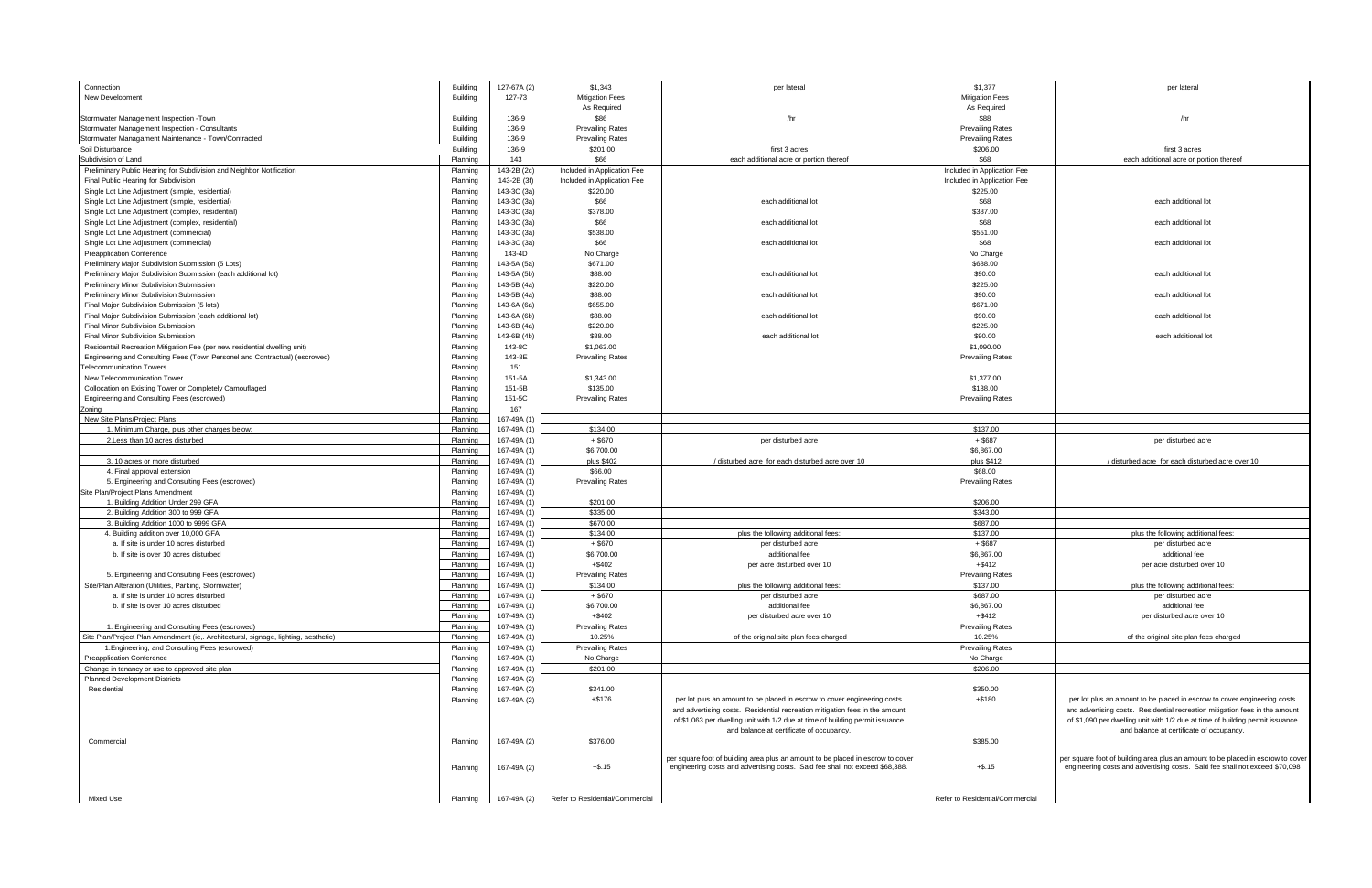| Connection                                                                          | <b>Building</b> | 127-67A (2) | \$1,343                         | per lateral                                                                     | \$1,377                         | per lateral                                                                     |
|-------------------------------------------------------------------------------------|-----------------|-------------|---------------------------------|---------------------------------------------------------------------------------|---------------------------------|---------------------------------------------------------------------------------|
| New Development                                                                     | Building        | 127-73      | <b>Mitigation Fees</b>          |                                                                                 | <b>Mitigation Fees</b>          |                                                                                 |
|                                                                                     |                 |             | As Required                     |                                                                                 | As Required                     |                                                                                 |
| Stormwater Management Inspection - Town                                             | <b>Building</b> | 136-9       | \$86                            | /hr                                                                             | \$88                            | /hr                                                                             |
| Stormwater Management Inspection - Consultants                                      | <b>Building</b> | 136-9       | <b>Prevailing Rates</b>         |                                                                                 | <b>Prevailing Rates</b>         |                                                                                 |
| Stormwater Managament Maintenance - Town/Contracted                                 | <b>Building</b> | 136-9       | <b>Prevailing Rates</b>         |                                                                                 | <b>Prevailing Rates</b>         |                                                                                 |
| Soil Disturbance                                                                    | <b>Building</b> | 136-9       | \$201.00                        | first 3 acres                                                                   | \$206.00                        | first 3 acres                                                                   |
| Subdivision of Land                                                                 | Planning        | 143         | \$66                            | each additional acre or portion thereof                                         | \$68                            | each additional acre or portion thereof                                         |
| Preliminary Public Hearing for Subdivision and Neighbor Notification                | Planning        | 143-2B (2c) | Included in Application Fee     |                                                                                 | Included in Application Fee     |                                                                                 |
| Final Public Hearing for Subdivision                                                | Planning        | 143-2B (3f) | Included in Application Fee     |                                                                                 | Included in Application Fee     |                                                                                 |
| Single Lot Line Adjustment (simple, residential)                                    | Planning        | 143-3C (3a) | \$220.00                        |                                                                                 | \$225.00                        |                                                                                 |
| Single Lot Line Adjustment (simple, residential)                                    | Planning        | 143-3C (3a) | \$66                            | each additional lot                                                             | \$68                            | each additional lot                                                             |
| Single Lot Line Adjustment (complex, residential)                                   | Planning        | 143-3C (3a) | \$378.00                        |                                                                                 | \$387.00                        |                                                                                 |
| Single Lot Line Adjustment (complex, residential)                                   | Planning        | 143-3C (3a) | \$66                            | each additional lot                                                             | \$68                            | each additional lot                                                             |
| Single Lot Line Adjustment (commercial)                                             | Planning        | 143-3C (3a) | \$538.00                        |                                                                                 | \$551.00                        |                                                                                 |
| Single Lot Line Adjustment (commercial)                                             | Planning        | 143-3C (3a) | \$66                            | each additional lot                                                             | \$68                            | each additional lot                                                             |
| <b>Preapplication Conference</b>                                                    | Planning        | 143-4D      | No Charge                       |                                                                                 | No Charge                       |                                                                                 |
| Preliminary Major Subdivision Submission (5 Lots)                                   | Planning        | 143-5A (5a) | \$671.00                        |                                                                                 | \$688.00                        |                                                                                 |
| Preliminary Major Subdivision Submission (each additional lot)                      | Planning        | 143-5A (5b) | \$88.00                         | each additional lot                                                             | \$90.00                         | each additional lot                                                             |
| Preliminary Minor Subdivision Submission                                            | Planning        | 143-5B (4a) | \$220.00                        |                                                                                 | \$225.00                        |                                                                                 |
| Preliminary Minor Subdivision Submission                                            | Planning        | 143-5B (4a) | \$88.00                         | each additional lot                                                             | \$90.00                         | each additional lot                                                             |
| Final Major Subdivision Submission (5 lots)                                         | Planning        | 143-6A (6a) | \$655.00                        |                                                                                 | \$671.00                        |                                                                                 |
| Final Major Subdivision Submission (each additional lot)                            | Planning        | 143-6A (6b) | \$88.00                         | each additional lot                                                             | \$90.00                         | each additional lot                                                             |
| Final Minor Subdivision Submission                                                  | Planning        | 143-6B (4a) | \$220.00                        |                                                                                 | \$225.00                        |                                                                                 |
| Final Minor Subdivision Submission                                                  | Planning        | 143-6B (4b) | \$88.00                         | each additional lot                                                             | \$90.00                         | each additional lot                                                             |
| Residentail Recreation Mitigation Fee (per new residential dwelling unit)           | Planning        | 143-8C      | \$1,063.00                      |                                                                                 | \$1,090.00                      |                                                                                 |
| Engineering and Consulting Fees (Town Personel and Contractual) (escrowed)          | Planning        | 143-8E      | <b>Prevailing Rates</b>         |                                                                                 | <b>Prevailing Rates</b>         |                                                                                 |
| <b>Telecommunication Towers</b>                                                     | Planning        | 151         |                                 |                                                                                 |                                 |                                                                                 |
| New Telecommunication Tower                                                         | Planning        | 151-5A      | \$1,343.00                      |                                                                                 | \$1,377.00                      |                                                                                 |
| Collocation on Existing Tower or Completely Camouflaged                             | Planning        | 151-5B      | \$135.00                        |                                                                                 | \$138.00                        |                                                                                 |
| Engineering and Consulting Fees (escrowed)                                          | Planning        | 151-5C      | <b>Prevailing Rates</b>         |                                                                                 | <b>Prevailing Rates</b>         |                                                                                 |
| Zoning                                                                              | Planning        | 167         |                                 |                                                                                 |                                 |                                                                                 |
| New Site Plans/Project Plans:                                                       | Planning        | 167-49A (1) |                                 |                                                                                 |                                 |                                                                                 |
| 1. Minimum Charge, plus other charges below:                                        | Planning        | 167-49A (1) | \$134.00                        |                                                                                 | \$137.00                        |                                                                                 |
| 2. Less than 10 acres disturbed                                                     | Planning        | 167-49A (1) | $+$ \$670                       | per disturbed acre                                                              | $+$ \$687                       | per disturbed acre                                                              |
|                                                                                     | Planning        | 167-49A (1) | \$6,700.00                      |                                                                                 | \$6,867.00                      |                                                                                 |
| 3. 10 acres or more disturbed                                                       | Planning        | 167-49A (1) | plus \$402                      | / disturbed acre for each disturbed acre over 10                                | plus \$412                      | / disturbed acre for each disturbed acre over 10                                |
| 4. Final approval extension                                                         | Planning        | 167-49A (1) | \$66.00                         |                                                                                 | \$68.00                         |                                                                                 |
| 5. Engineering and Consulting Fees (escrowed)                                       | Planning        | 167-49A (1) | <b>Prevailing Rates</b>         |                                                                                 | <b>Prevailing Rates</b>         |                                                                                 |
| Site Plan/Project Plans Amendment                                                   | Planning        | 167-49A (1) |                                 |                                                                                 |                                 |                                                                                 |
| 1. Building Addition Under 299 GFA                                                  | Planning        | 167-49A (1) | \$201.00                        |                                                                                 | \$206.00                        |                                                                                 |
| 2. Building Addition 300 to 999 GFA                                                 | Planning        | 167-49A (1) | \$335.00                        |                                                                                 | \$343.00                        |                                                                                 |
| 3. Building Addition 1000 to 9999 GFA                                               | Planning        | 167-49A (1) | \$670.00                        |                                                                                 | \$687.00                        |                                                                                 |
| 4. Building addition over 10,000 GFA                                                | Planning        | 167-49A (1) | \$134.00                        | plus the following additional fees:                                             | \$137.00                        | plus the following additional fees:                                             |
| a. If site is under 10 acres disturbed                                              | Planning        | 167-49A (1) | $+$ \$670                       | per disturbed acre                                                              | $+$ \$687                       | per disturbed acre                                                              |
| b. If site is over 10 acres disturbed                                               | Planning        | 167-49A (1) | \$6,700.00                      | additional fee                                                                  | \$6,867.00                      | additional fee                                                                  |
|                                                                                     | Planning        | 167-49A (1) | $+$ \$402                       | per acre disturbed over 10                                                      | $+$ \$412                       | per acre disturbed over 10                                                      |
| 5. Engineering and Consulting Fees (escrowed)                                       | Planning        | 167-49A (1) | <b>Prevailing Rates</b>         |                                                                                 | <b>Prevailing Rates</b>         |                                                                                 |
| Site/Plan Alteration (Utilities, Parking, Stormwater)                               | Planning        | 167-49A (1) | \$134.00                        | plus the following additional fees:                                             | \$137.00                        | plus the following additional fees:                                             |
| a. If site is under 10 acres disturbed                                              | Planning        | 167-49A (1) | $+$ \$670                       | per disturbed acre                                                              | \$687.00                        | per disturbed acre                                                              |
| b. If site is over 10 acres disturbed                                               | Planning        | 167-49A (1) | \$6,700.00                      | additional fee                                                                  | \$6,867.00                      | additional fee                                                                  |
|                                                                                     | Planning        | 167-49A (1) | $+$ \$402                       | per disturbed acre over 10                                                      | $+$ \$412                       | per disturbed acre over 10                                                      |
| 1. Engineering and Consulting Fees (escrowed)                                       | Planning        | 167-49A (1) | <b>Prevailing Rates</b>         |                                                                                 | <b>Prevailing Rates</b>         |                                                                                 |
| Site Plan/Project Plan Amendment (ie,. Architectural, signage, lighting, aesthetic) | Planning        | 167-49A (1) | 10.25%                          | of the original site plan fees charged                                          | 10.25%                          | of the original site plan fees charged                                          |
| 1. Engineering, and Consulting Fees (escrowed)                                      | Planning        | 167-49A (1) | <b>Prevailing Rates</b>         |                                                                                 | <b>Prevailing Rates</b>         |                                                                                 |
| <b>Preapplication Conference</b>                                                    | Planning        | 167-49A (1) | No Charge                       |                                                                                 | No Charge                       |                                                                                 |
| Change in tenancy or use to approved site plan                                      | Planning        | 167-49A (1) | \$201.00                        |                                                                                 | \$206.00                        |                                                                                 |
| <b>Planned Development Districts</b>                                                | Planning        | 167-49A (2) |                                 |                                                                                 |                                 |                                                                                 |
| Residential                                                                         | Planning        | 167-49A (2) | \$341.00                        |                                                                                 | \$350.00                        |                                                                                 |
|                                                                                     | Planning        | 167-49A (2) | $+ $176$                        | per lot plus an amount to be placed in escrow to cover engineering costs        | $+ $180$                        | per lot plus an amount to be placed in escrow to cover engineering costs        |
|                                                                                     |                 |             |                                 | and advertising costs. Residential recreation mitigation fees in the amount     |                                 | and advertising costs. Residential recreation mitigation fees in the amount     |
|                                                                                     |                 |             |                                 | of \$1,063 per dwelling unit with 1/2 due at time of building permit issuance   |                                 | of \$1,090 per dwelling unit with 1/2 due at time of building permit issuance   |
|                                                                                     |                 |             |                                 | and balance at certificate of occupancy.                                        |                                 | and balance at certificate of occupancy.                                        |
| Commercial                                                                          | Planning        | 167-49A (2) | \$376.00                        |                                                                                 | \$385.00                        |                                                                                 |
|                                                                                     |                 |             |                                 | per square foot of building area plus an amount to be placed in escrow to cover |                                 | per square foot of building area plus an amount to be placed in escrow to cover |
|                                                                                     | Planning        | 167-49A (2) | $+$ \$.15                       | engineering costs and advertising costs. Said fee shall not exceed \$68,388.    | $+$ \$.15                       | engineering costs and advertising costs. Said fee shall not exceed \$70,098     |
|                                                                                     |                 |             |                                 |                                                                                 |                                 |                                                                                 |
|                                                                                     |                 |             |                                 |                                                                                 |                                 |                                                                                 |
| Mixed Use                                                                           | Planning        | 167-49A (2) | Refer to Residential/Commercial |                                                                                 | Refer to Residential/Commercial |                                                                                 |
|                                                                                     |                 |             |                                 |                                                                                 |                                 |                                                                                 |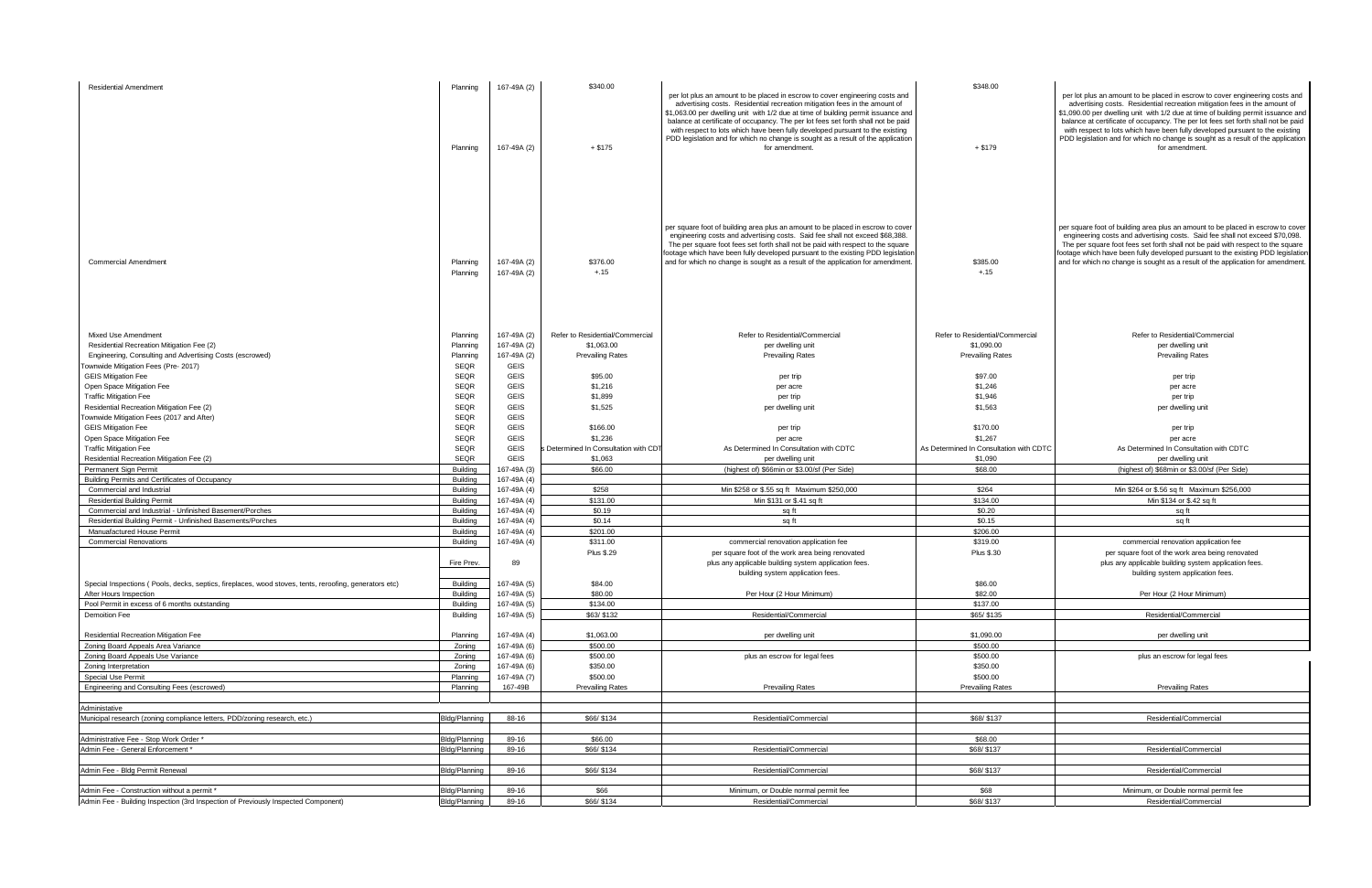| <b>Residential Amendment</b>                                                                           | Planning<br>Planning        | 167-49A (2)<br>167-49A (2) | \$340.00<br>$+ $175$                          | per lot plus an amount to be placed in escrow to cover engineering costs and<br>advertising costs. Residential recreation mitigation fees in the amount of<br>\$1,063.00 per dwelling unit with 1/2 due at time of building permit issuance and<br>balance at certificate of occupancy. The per lot fees set forth shall not be paid<br>with respect to lots which have been fully developed pursuant to the existing<br>PDD legislation and for which no change is sought as a result of the application<br>for amendment. | \$348.00<br>$+ $179$                          | per lot plus an amount to be placed in escrow to cover engineering costs and<br>advertising costs. Residential recreation mitigation fees in the amount of<br>\$1,090.00 per dwelling unit with 1/2 due at time of building permit issuance and<br>balance at certificate of occupancy. The per lot fees set forth shall not be paid<br>with respect to lots which have been fully developed pursuant to the existing<br>PDD legislation and for which no change is sought as a result of the application<br>for amendment. |
|--------------------------------------------------------------------------------------------------------|-----------------------------|----------------------------|-----------------------------------------------|-----------------------------------------------------------------------------------------------------------------------------------------------------------------------------------------------------------------------------------------------------------------------------------------------------------------------------------------------------------------------------------------------------------------------------------------------------------------------------------------------------------------------------|-----------------------------------------------|-----------------------------------------------------------------------------------------------------------------------------------------------------------------------------------------------------------------------------------------------------------------------------------------------------------------------------------------------------------------------------------------------------------------------------------------------------------------------------------------------------------------------------|
| <b>Commercial Amendment</b>                                                                            | Planning<br>Planning        | 167-49A (2)<br>167-49A (2) | \$376.00<br>$+.15$                            | per square foot of building area plus an amount to be placed in escrow to cover<br>engineering costs and advertising costs. Said fee shall not exceed \$68,388.<br>The per square foot fees set forth shall not be paid with respect to the square<br>footage which have been fully developed pursuant to the existing PDD legislation<br>and for which no change is sought as a result of the application for amendment.                                                                                                   | \$385.00<br>$+.15$                            | per square foot of building area plus an amount to be placed in escrow to cover<br>engineering costs and advertising costs. Said fee shall not exceed \$70,098.<br>The per square foot fees set forth shall not be paid with respect to the square<br>footage which have been fully developed pursuant to the existing PDD legislation<br>and for which no change is sought as a result of the application for amendment                                                                                                    |
|                                                                                                        |                             |                            |                                               |                                                                                                                                                                                                                                                                                                                                                                                                                                                                                                                             |                                               | Refer to Residential/Commercial                                                                                                                                                                                                                                                                                                                                                                                                                                                                                             |
| Mixed Use Amendment<br>Residential Recreation Mitigation Fee (2)                                       | Planning<br>Planning        | 167-49A (2)<br>167-49A (2) | Refer to Residential/Commercial<br>\$1,063.00 | Refer to Residential/Commercial<br>per dwelling unit                                                                                                                                                                                                                                                                                                                                                                                                                                                                        | Refer to Residential/Commercial<br>\$1,090.00 | per dwelling unit                                                                                                                                                                                                                                                                                                                                                                                                                                                                                                           |
| Engineering, Consulting and Advertising Costs (escrowed)                                               | Planning                    | 167-49A (2)                | <b>Prevailing Rates</b>                       | <b>Prevailing Rates</b>                                                                                                                                                                                                                                                                                                                                                                                                                                                                                                     | <b>Prevailing Rates</b>                       | <b>Prevailing Rates</b>                                                                                                                                                                                                                                                                                                                                                                                                                                                                                                     |
| Townwide Mitigation Fees (Pre- 2017)                                                                   | <b>SEQR</b>                 | <b>GEIS</b>                |                                               |                                                                                                                                                                                                                                                                                                                                                                                                                                                                                                                             |                                               |                                                                                                                                                                                                                                                                                                                                                                                                                                                                                                                             |
| <b>GEIS Mitigation Fee</b>                                                                             | <b>SEQR</b>                 | <b>GEIS</b>                | \$95.00                                       | per trip                                                                                                                                                                                                                                                                                                                                                                                                                                                                                                                    | \$97.00                                       | per trip                                                                                                                                                                                                                                                                                                                                                                                                                                                                                                                    |
| Open Space Mitigation Fee                                                                              | <b>SEQR</b>                 | <b>GEIS</b>                | \$1,216                                       | per acre                                                                                                                                                                                                                                                                                                                                                                                                                                                                                                                    | \$1,246                                       | per acre                                                                                                                                                                                                                                                                                                                                                                                                                                                                                                                    |
| <b>Traffic Mitigation Fee</b>                                                                          | <b>SEQR</b>                 | <b>GEIS</b>                | \$1,899                                       | per trip                                                                                                                                                                                                                                                                                                                                                                                                                                                                                                                    | \$1,946                                       | per trip                                                                                                                                                                                                                                                                                                                                                                                                                                                                                                                    |
| Residential Recreation Mitigation Fee (2)                                                              | <b>SEQR</b>                 | <b>GEIS</b>                | \$1,525                                       | per dwelling unit                                                                                                                                                                                                                                                                                                                                                                                                                                                                                                           | \$1,563                                       | per dwelling unit                                                                                                                                                                                                                                                                                                                                                                                                                                                                                                           |
| Townwide Mitigation Fees (2017 and After)                                                              | <b>SEQR</b>                 | <b>GEIS</b>                |                                               |                                                                                                                                                                                                                                                                                                                                                                                                                                                                                                                             |                                               |                                                                                                                                                                                                                                                                                                                                                                                                                                                                                                                             |
| <b>GEIS Mitigation Fee</b>                                                                             | <b>SEQR</b>                 | <b>GEIS</b>                | \$166.00                                      | per trip                                                                                                                                                                                                                                                                                                                                                                                                                                                                                                                    | \$170.00                                      | per trip                                                                                                                                                                                                                                                                                                                                                                                                                                                                                                                    |
| Open Space Mitigation Fee                                                                              | <b>SEQR</b>                 | <b>GEIS</b>                | \$1,236                                       | per acre                                                                                                                                                                                                                                                                                                                                                                                                                                                                                                                    | \$1,267                                       | per acre                                                                                                                                                                                                                                                                                                                                                                                                                                                                                                                    |
| <b>Traffic Mitigation Fee</b>                                                                          | <b>SEQR</b>                 | <b>GEIS</b>                | Determined In Consultation with CD            | As Determined In Consultation with CDTC                                                                                                                                                                                                                                                                                                                                                                                                                                                                                     | As Determined In Consultation with CDTC       | As Determined In Consultation with CDTC                                                                                                                                                                                                                                                                                                                                                                                                                                                                                     |
| Residential Recreation Mitigation Fee (2)                                                              | <b>SEQR</b>                 | <b>GEIS</b>                | \$1,063                                       | per dwelling unit                                                                                                                                                                                                                                                                                                                                                                                                                                                                                                           | \$1,090                                       | per dwelling unit                                                                                                                                                                                                                                                                                                                                                                                                                                                                                                           |
| Permanent Sign Permit                                                                                  | <b>Building</b>             | 167-49A (3)                | \$66.00                                       | (highest of) \$66min or \$3.00/sf (Per Side)                                                                                                                                                                                                                                                                                                                                                                                                                                                                                | \$68.00                                       | (highest of) \$68min or \$3.00/sf (Per Side)                                                                                                                                                                                                                                                                                                                                                                                                                                                                                |
| Building Permits and Certificates of Occupancy                                                         | Building                    | 167-49A (4)                |                                               |                                                                                                                                                                                                                                                                                                                                                                                                                                                                                                                             |                                               |                                                                                                                                                                                                                                                                                                                                                                                                                                                                                                                             |
| Commercial and Industrial<br><b>Residential Building Permit</b>                                        | <b>Building</b><br>Building | 167-49A (4)<br>167-49A (4) | \$258<br>\$131.00                             | Min \$258 or \$.55 sq ft Maximum \$250,000<br>Min \$131 or \$.41 sq ft                                                                                                                                                                                                                                                                                                                                                                                                                                                      | \$264<br>\$134.00                             | Min \$264 or \$.56 sq ft Maximum \$256,000<br>Min \$134 or \$.42 sq ft                                                                                                                                                                                                                                                                                                                                                                                                                                                      |
| Commercial and Industrial - Unfinished Basement/Porches                                                | Building                    | 167-49A (4)                | \$0.19                                        | sq ft                                                                                                                                                                                                                                                                                                                                                                                                                                                                                                                       | \$0.20                                        | sa ft                                                                                                                                                                                                                                                                                                                                                                                                                                                                                                                       |
| Residential Building Permit - Unfinished Basements/Porches                                             | <b>Building</b>             | 167-49A (4)                | \$0.14                                        | sq ft                                                                                                                                                                                                                                                                                                                                                                                                                                                                                                                       | \$0.15                                        | sq ft                                                                                                                                                                                                                                                                                                                                                                                                                                                                                                                       |
| Manuafactured House Permit                                                                             | <b>Building</b>             | 167-49A (4)                | \$201.00                                      |                                                                                                                                                                                                                                                                                                                                                                                                                                                                                                                             | \$206.00                                      |                                                                                                                                                                                                                                                                                                                                                                                                                                                                                                                             |
| <b>Commercial Renovations</b>                                                                          | <b>Building</b>             | 167-49A (4)                | \$311.00                                      | commercial renovation application fee                                                                                                                                                                                                                                                                                                                                                                                                                                                                                       | \$319.00                                      | commercial renovation application fee                                                                                                                                                                                                                                                                                                                                                                                                                                                                                       |
|                                                                                                        |                             |                            | <b>Plus \$.29</b>                             | per square foot of the work area being renovated                                                                                                                                                                                                                                                                                                                                                                                                                                                                            | <b>Plus \$.30</b>                             | per square foot of the work area being renovated                                                                                                                                                                                                                                                                                                                                                                                                                                                                            |
|                                                                                                        | Fire Prev.                  | 89                         |                                               | plus any applicable building system application fees.                                                                                                                                                                                                                                                                                                                                                                                                                                                                       |                                               | plus any applicable building system application fees.                                                                                                                                                                                                                                                                                                                                                                                                                                                                       |
|                                                                                                        |                             |                            |                                               | building system application fees.                                                                                                                                                                                                                                                                                                                                                                                                                                                                                           |                                               | building system application fees.                                                                                                                                                                                                                                                                                                                                                                                                                                                                                           |
| Special Inspections (Pools, decks, septics, fireplaces, wood stoves, tents, reroofing, generators etc) | Building                    | 167-49A (5)                | \$84.00                                       |                                                                                                                                                                                                                                                                                                                                                                                                                                                                                                                             | \$86.00                                       |                                                                                                                                                                                                                                                                                                                                                                                                                                                                                                                             |
| After Hours Inspection                                                                                 | <b>Building</b>             | 167-49A (5)                | \$80.00                                       | Per Hour (2 Hour Minimum)                                                                                                                                                                                                                                                                                                                                                                                                                                                                                                   | \$82.00                                       | Per Hour (2 Hour Minimum)                                                                                                                                                                                                                                                                                                                                                                                                                                                                                                   |
| Pool Permit in excess of 6 months outstanding<br><b>Demoition Fee</b>                                  | <b>Building</b><br>Building | 167-49A (5)<br>167-49A (5) | \$134.00<br>\$63/ \$132                       | Residential/Commercial                                                                                                                                                                                                                                                                                                                                                                                                                                                                                                      | \$137.00<br>\$65/ \$135                       | Residential/Commercial                                                                                                                                                                                                                                                                                                                                                                                                                                                                                                      |
|                                                                                                        |                             |                            |                                               |                                                                                                                                                                                                                                                                                                                                                                                                                                                                                                                             |                                               |                                                                                                                                                                                                                                                                                                                                                                                                                                                                                                                             |
| Residential Recreation Mitigation Fee                                                                  | Planning                    | 167-49A (4)                | \$1,063.00                                    | per dwelling unit                                                                                                                                                                                                                                                                                                                                                                                                                                                                                                           | \$1,090.00                                    | per dwelling unit                                                                                                                                                                                                                                                                                                                                                                                                                                                                                                           |
| Zoning Board Appeals Area Variance                                                                     | Zoning                      | 167-49A (6)                | \$500.00                                      |                                                                                                                                                                                                                                                                                                                                                                                                                                                                                                                             | \$500.00                                      |                                                                                                                                                                                                                                                                                                                                                                                                                                                                                                                             |
| Zoning Board Appeals Use Variance                                                                      | Zoning                      | 167-49A (6)                | \$500.00                                      | plus an escrow for legal fees                                                                                                                                                                                                                                                                                                                                                                                                                                                                                               | \$500.00                                      | plus an escrow for legal fees                                                                                                                                                                                                                                                                                                                                                                                                                                                                                               |
| Zoning Interpretation                                                                                  | Zoning                      | 167-49A (6)                | \$350.00                                      |                                                                                                                                                                                                                                                                                                                                                                                                                                                                                                                             | \$350.00                                      |                                                                                                                                                                                                                                                                                                                                                                                                                                                                                                                             |
| Special Use Permit                                                                                     | Planning                    | 167-49A (7)                | \$500.00                                      |                                                                                                                                                                                                                                                                                                                                                                                                                                                                                                                             | \$500.00                                      |                                                                                                                                                                                                                                                                                                                                                                                                                                                                                                                             |
| Engineering and Consulting Fees (escrowed)                                                             | Planning                    | 167-49B                    | <b>Prevailing Rates</b>                       | <b>Prevailing Rates</b>                                                                                                                                                                                                                                                                                                                                                                                                                                                                                                     | Prevailing Rates                              | Prevailing Rates                                                                                                                                                                                                                                                                                                                                                                                                                                                                                                            |
|                                                                                                        |                             |                            |                                               |                                                                                                                                                                                                                                                                                                                                                                                                                                                                                                                             |                                               |                                                                                                                                                                                                                                                                                                                                                                                                                                                                                                                             |
| Administative                                                                                          |                             |                            |                                               |                                                                                                                                                                                                                                                                                                                                                                                                                                                                                                                             |                                               |                                                                                                                                                                                                                                                                                                                                                                                                                                                                                                                             |
| Municipal research (zoning compliance letters, PDD/zoning research, etc.)                              | <b>Bldg/Planning</b>        | 88-16                      | \$66/ \$134                                   | Residential/Commercial                                                                                                                                                                                                                                                                                                                                                                                                                                                                                                      | \$68/ \$137                                   | Residential/Commercial                                                                                                                                                                                                                                                                                                                                                                                                                                                                                                      |
| Administrative Fee - Stop Work Order *                                                                 | <b>Bldg/Planning</b>        | 89-16                      | \$66.00                                       |                                                                                                                                                                                                                                                                                                                                                                                                                                                                                                                             | \$68.00                                       |                                                                                                                                                                                                                                                                                                                                                                                                                                                                                                                             |
| Admin Fee - General Enforcement *                                                                      | Bldg/Planning               | 89-16                      | \$66/ \$134                                   | Residential/Commercial                                                                                                                                                                                                                                                                                                                                                                                                                                                                                                      | \$68/ \$137                                   | Residential/Commercial                                                                                                                                                                                                                                                                                                                                                                                                                                                                                                      |
|                                                                                                        |                             |                            |                                               |                                                                                                                                                                                                                                                                                                                                                                                                                                                                                                                             |                                               |                                                                                                                                                                                                                                                                                                                                                                                                                                                                                                                             |
| Admin Fee - Bldg Permit Renewal                                                                        | Bldg/Planning               | 89-16                      | \$66/ \$134                                   | Residential/Commercial                                                                                                                                                                                                                                                                                                                                                                                                                                                                                                      | \$68/ \$137                                   | Residential/Commercial                                                                                                                                                                                                                                                                                                                                                                                                                                                                                                      |
|                                                                                                        |                             |                            |                                               |                                                                                                                                                                                                                                                                                                                                                                                                                                                                                                                             |                                               |                                                                                                                                                                                                                                                                                                                                                                                                                                                                                                                             |
| Admin Fee - Construction without a permit *                                                            | Bldg/Planning               | 89-16                      | \$66                                          | Minimum, or Double normal permit fee                                                                                                                                                                                                                                                                                                                                                                                                                                                                                        | \$68                                          | Minimum, or Double normal permit fee                                                                                                                                                                                                                                                                                                                                                                                                                                                                                        |
| Admin Fee - Building Inspection (3rd Inspection of Previously Inspected Component)                     | Bldg/Planning               | 89-16                      | \$66/ \$134                                   | Residential/Commercial                                                                                                                                                                                                                                                                                                                                                                                                                                                                                                      | \$68/ \$137                                   | Residential/Commercial                                                                                                                                                                                                                                                                                                                                                                                                                                                                                                      |